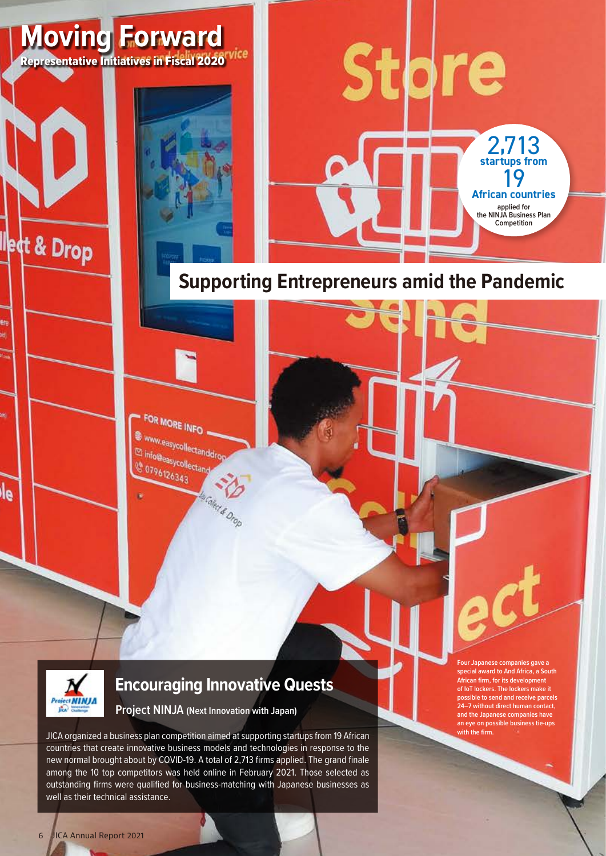

## **Supporting Entrepreneurs amid the Pandemic**

FOR MORE INFO www.easycollectanddrop El info@easycollectand <sup>6</sup> 0796126343



let & Drop

le

#### **Encouraging Innovative Quests**

Ms Coled & Drop

**Project NINJA (Next Innovation with Japan)**

JICA organized a business plan competition aimed at supporting startups from 19 African countries that create innovative business models and technologies in response to the new normal brought about by COVID-19. A total of 2,713 firms applied. The grand finale among the 10 top competitors was held online in February 2021. Those selected as outstanding firms were qualified for business-matching with Japanese businesses as well as their technical assistance.

**Four Japanese companies gave a special award to And Africa, a South African firm, for its development of IoT lockers. The lockers make it possible to send and receive parcels 24–7 without direct human contact, and the Japanese companies have an eye on possible business tie-ups with the firm.**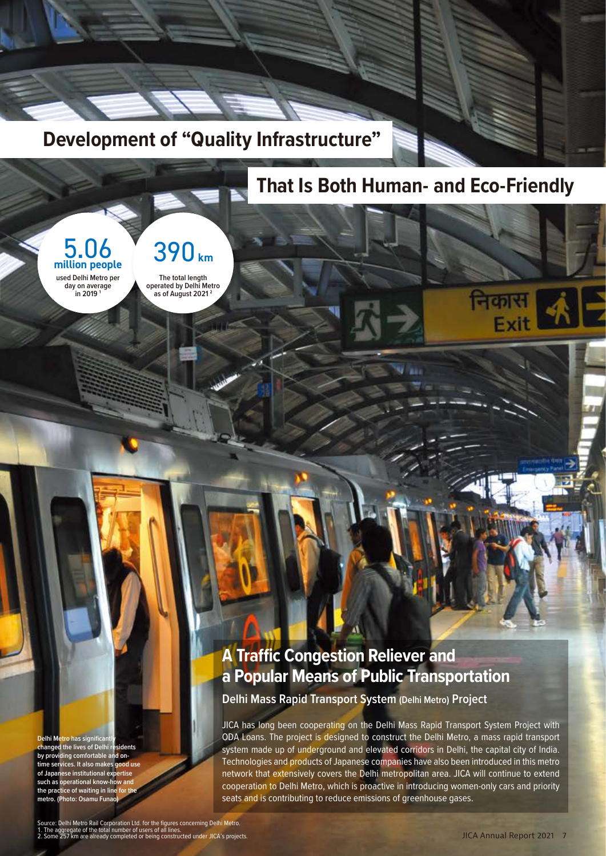

### **That Is Both Human- and Eco-Friendly**



**The total length operated by Delhi Metro as of August 2021 2**

#### **A Traffic Congestion Reliever and a Popular Means of Public Transportation**

**Delhi Mass Rapid Transport System (Delhi Metro) Project**

JICA has long been cooperating on the Delhi Mass Rapid Transport System Project with ODA Loans. The project is designed to construct the Delhi Metro, a mass rapid transport system made up of underground and elevated corridors in Delhi, the capital city of India. Technologies and products of Japanese companies have also been introduced in this metro network that extensively covers the Delhi metropolitan area. JICA will continue to extend cooperation to Delhi Metro, which is proactive in introducing women-only cars and priority seats and is contributing to reduce emissions of greenhouse gases.

**Delhi Metro has significantly changed the lives of Delhi residents by providing comfortable and ontime services. It also makes good use of Japanese institutional expertise**  such as operational know-how an the practice of waiting in line **metro. (Photo: Osamu Funao)**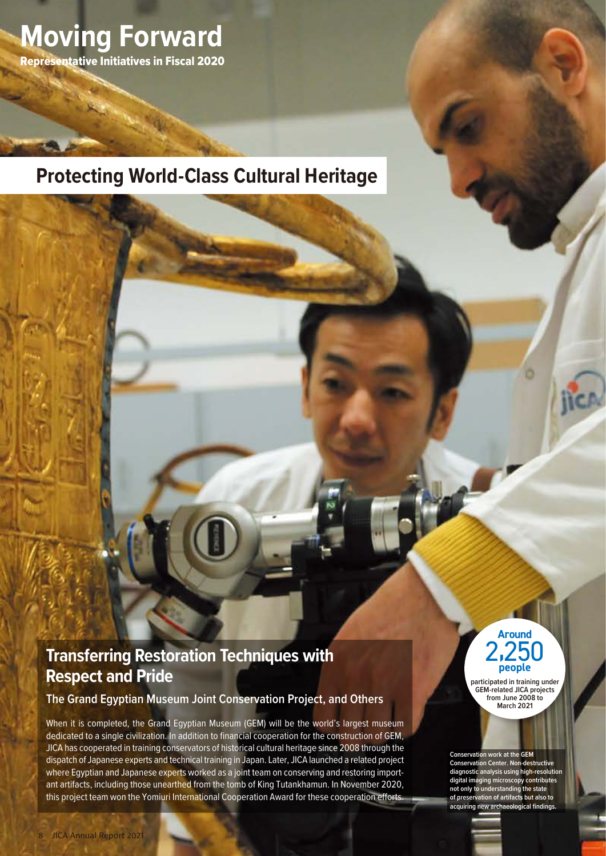

#### **Protecting World-Class Cultural Heritage**

#### **Transferring Restoration Techniques with Respect and Pride**

**The Grand Egyptian Museum Joint Conservation Project, and Others**

When it is completed, the Grand Egyptian Museum (GEM) will be the world's largest museum dedicated to a single civilization. In addition to financial cooperation for the construction of GEM, JICA has cooperated in training conservators of historical cultural heritage since 2008 through the dispatch of Japanese experts and technical training in Japan. Later, JICA launched a related project where Egyptian and Japanese experts worked as a joint team on conserving and restoring important artifacts, including those unearthed from the tomb of King Tutankhamun. In November 2020, this project team won the Yomiuri International Cooperation Award for these cooperation efforts.



**participated in training under GEM-related JICA projects from June 2008 to March 2021**

**Conservation work at the GEM Conservation Center. Non-destructive diagnostic analysis using high-resolution digital imaging microscopy contributes not only to understanding the state of preservation of artifacts but also to acquiring new archaeological findings.**